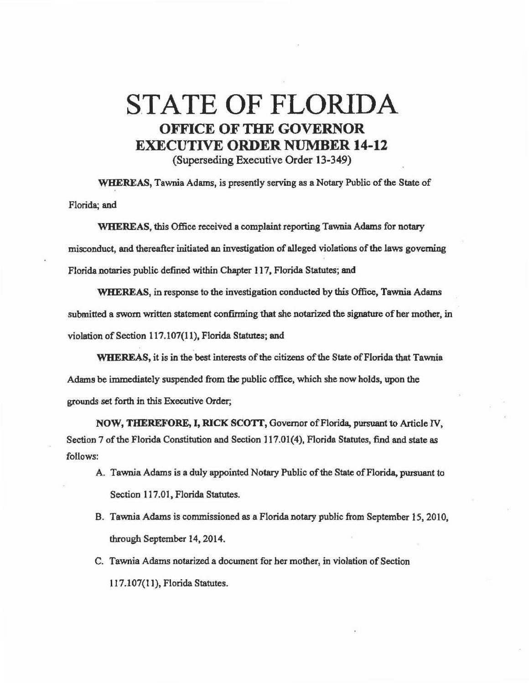## STATE OF FLORIDA OFFICE OF THE GOVERNOR EXECUTIVE ORDER NUMBER 14-12

(Superseding Executive Order 13-349)

WHEREAS, Tawnia Adams, is presently serving as a Notary Public of the State of Florida; and

WHEREAS, this Office received a complaint reporting Tawnia Adams for notary misconduct, and thereafter initiated an investigation of alleged violations of the laws governing Florida notaries public defined within Chapter 117, Florida Statutes; and

WHEREAS, in response to the investigation conducted by this Office, Tawnia Adams submitted a sworn written statement confirming that she notarized the signature of her mother, in violation of Section 117.107(11), Florida Statutes; and

WHEREAS, it is in the best interests of the citizens of the State of Florida that Tawnia Adams be immediately suspended from the public office, which she now holds, upon the grounds set forth in this Executive Order;

NOW, THEREFORE, I, RICK SCOTT, Governor of Florida, pursuant to Article IV, Section 7 of the Florida Constitution and Section 117.01(4), Florida Statutes, find and state *as*  follows:

- A. Tawnia Adams is a duly appointed Notary Public of the State of Florida, pursuant to Section 117.01, Florida Statutes.
- B. Tawnia Adams is commissioned *as* a Florida notary public from September 15, 20 I 0, through September 14, 2014.
- C. Tawnia Adams notarized a docwnent for her mother, in violation of Section 117.107(11), Florida Statutes.